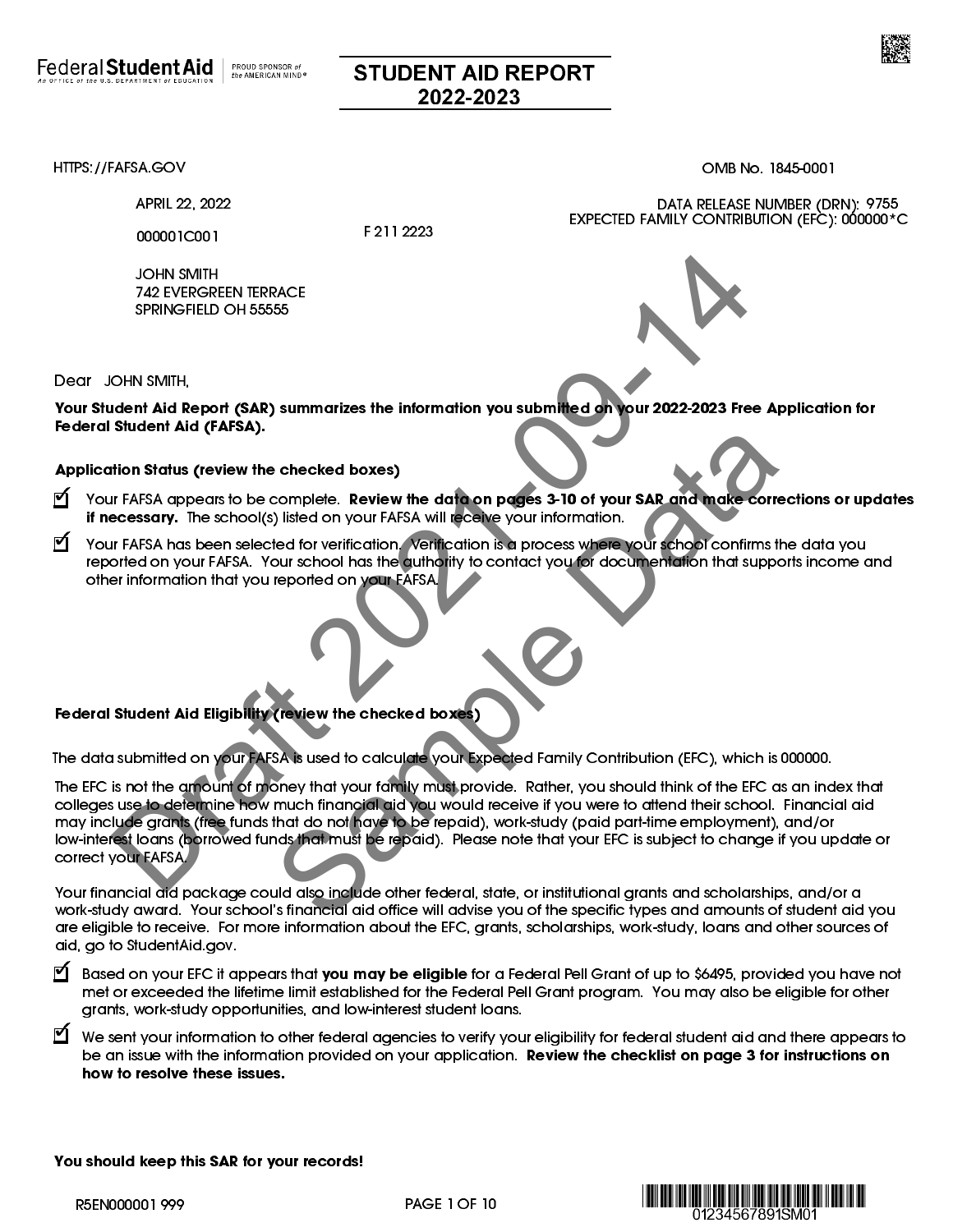

## STUDENT AID REPORT 2022-2023

APRIL 22, 2022

000001C001

F 211 2223

JOHN SMITH 742 EVERGREEN TERRACE SPRINGFIELD OH 55555



Dear JOHN SMITH,

Your Student Aid Report (SAR) summarizes the information you submitted on your 2022-2023 Free Application for Federal Student Aid (FAFSA).

## Application Status (review the checked boxes)

- √ Your FAFSA appears to be complete. Review the data on pages 3-10 of your SAR and make corrections or updates if necessary. The school(s) listed on your FAFSA will receive your information.
- $\blacktriangleleft$  Your FAFSA has been selected for verification. Verification is a process where your school confirms the data you reported on your FAFSA. Your school has the authority to contact you for documentation that supports income and other information that you reported on your FAFSA.

## Federal Student Aid Eligibility (review the checked boxes)

The data submitted on your FAFSA is used to calculate your Expected Family Contribution (EFC), which is 000000.

The EFC is not the amount of money that your family must provide. Rather, you should think of the EFC as an index that colleges use to determine how much financial aid you would receive if you were to attend their school. Financial aid may include grants (free funds that do not have to be repaid), work-study (paid part-time employment), and/or low-interest loans (borrowed funds that must be repaid). Please note that your EFC is subject to change if you update or correct your FAFSA. JOHN SMITH<br>
742 EVERGREEN TERRACE<br>
SPRINGFIELD OH 55555<br>
SPRINGFIELD OH 55555<br>
SPRINGFIELD OH 55555<br>
SIMMIN,<br>
Itlend Aid Report (SAR) summarizes the information you submitted on your 2022-2023 Free App<br>
It first An operato China China China China China China China China China China China China China China China China China China China China China China China China China China China China China China China China China China China China China

Your financial aid package could also include other federal, state, or institutional grants and scholarships, and/or a work-study award. Your school's financial aid office will advise you of the specific types and amounts of student aid you are eligible to receive. For more information about the EFC, grants, scholarships, work-study, loans and other sources of aid, go to [StudentAid.gov.](https://studentaid.gov/)

- ) Based on your EFC it appears that you may be eligible for a Federal Pell Grant of up to \$6495, provided you have not met or exceeded the lifetime limit established for the Federal Pell Grant program. You may also be eligible for other grants, work-study opportunities, and low-interest student loans.
- $\bm{\mathbb{C}}$  We sent your information to other federal agencies to verify your eligibility for federal student aid and there appears to be an issue with the information provided on your application. Review the checklist on page 3 for instructions on how to resolve these issues.

You should keep this SAR for your records!





[HTTPS://FAFSA.GOV](https://studentaid.gov/h/apply-for-aid/fafsa) OMB No. 1845-0001

EXPECTED FAMILY CONTRIBUTION (EFC): 000000\*C

DATA RELEASE NUMBER (DRN): 9755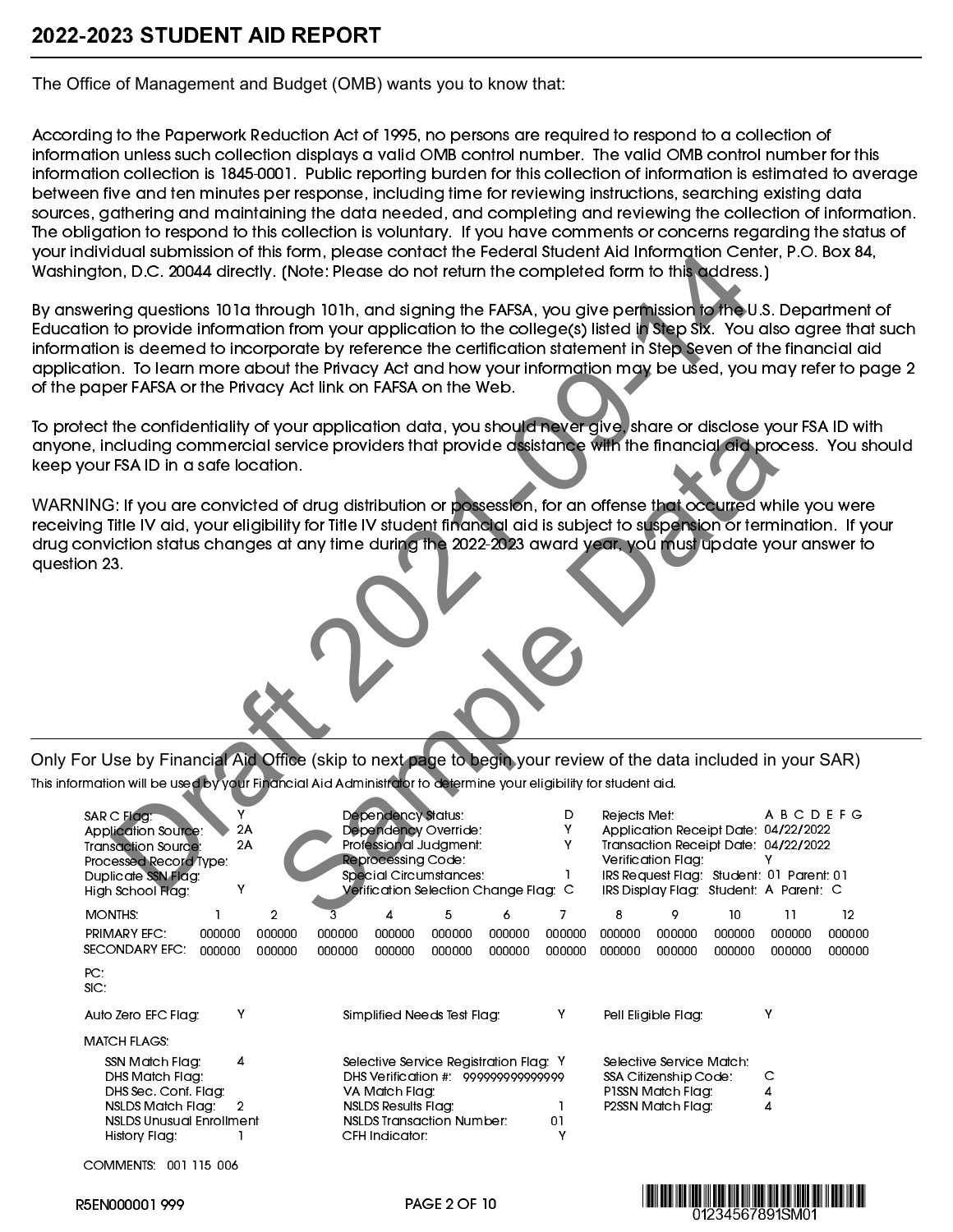**The Office of Management and Budget (OMB) wants you to know that:**

According to the Paperwork Reduction Act of 1995, no persons are required to respond to a collection of information unless such collection displays a valid OMB control number. The valid OMB control number for this information collection is 1845-0001. Public reporting burden for this collection of information is estimated to average between five and ten minutes per response, including time for reviewing instructions, searching existing data sources, gathering and maintaining the data needed, and completing and reviewing the collection of information. The obligation to respond to this collection is voluntary. If you have comments or concerns regarding the status of your individual submission of this form, please contact the Federal Student Aid Information Center, P.O. Box 84, Washington, D.C. 20044 directly. [Note: Please do not return the completed form to this address.]

By answering questions 101a through 101h, and signing the FAFSA, you give permission to the U.S. Department of Education to provide information from your application to the college(s) listed in Step Six. You also agree that such information is deemed to incorporate by reference the certification statement in Step Seven of the financial aid application. To learn more about the Privacy Act and how your information may be used, you may refer to page 2 of the paper FAFSA or the Privacy Act link on FAFSA on the Web. dual substitution (m. pledes contents in energies like the principle and information Center.<br>
In a questions 10 la through 10 lh, and signing the FAFSA, you give perhistion to this todal substitution for<br>
In a questions 10

To protect the confidentiality of your application data, you should never give, share or disclose your FSA ID with anyone, including commercial service providers that provide assistance with the financial aid process. You should keep your FSA ID in a safe location.

| Oleci me comiqenilality or your application data, you should hever give, share or alsclose you i sA iD will i<br>one, including commercial service providers that provide assistance with the financial aid process. You should<br>your FSA ID in a safe location.                                                                                            |                    |                  |                  |                                                                       |                                                                          |                                                                              |                              |                  |                                                                                             |                  |                                                                                                                                                                                           |                  |  |
|---------------------------------------------------------------------------------------------------------------------------------------------------------------------------------------------------------------------------------------------------------------------------------------------------------------------------------------------------------------|--------------------|------------------|------------------|-----------------------------------------------------------------------|--------------------------------------------------------------------------|------------------------------------------------------------------------------|------------------------------|------------------|---------------------------------------------------------------------------------------------|------------------|-------------------------------------------------------------------------------------------------------------------------------------------------------------------------------------------|------------------|--|
| RNING: If you are convicted of drug distribution or possession, for an offense that occurred while you were<br>iving Title IV aid, your eligibility for Title IV student financial aid is subject to suspension or termination. If your<br>conviction status changes at any time during the 2022-2023 award year, you must update your answer to<br>stion 23. |                    |                  |                  |                                                                       |                                                                          |                                                                              |                              |                  |                                                                                             |                  |                                                                                                                                                                                           |                  |  |
| For Use by Financial Aid Office (skip to next page to begin your review of the data included in your SAR)<br>formation will be used by your Financial Aid Administrator to determine your eligibility for student aid.                                                                                                                                        |                    |                  |                  |                                                                       |                                                                          |                                                                              |                              |                  |                                                                                             |                  |                                                                                                                                                                                           |                  |  |
| SAR C Flag:<br><b>Application Source:</b><br><b>Transaction Source:</b><br>Processed Record Type:<br>Duplicate SSN Flag:                                                                                                                                                                                                                                      | Y<br>2A<br>2A<br>Υ |                  |                  | <b>Dependency Status:</b><br><b>Reprocessing Code:</b>                | Dependency Override:<br>Professional Judgment:<br>Special Circumstances: | Verification Selection Change Flag: C                                        | D<br>Υ<br>Y<br>$\mathbf{1}$  | Rejects Met:     | Verification Flag:                                                                          |                  | <b>ABCDEFG</b><br>Application Receipt Date: 04/22/2022<br>Transaction Receipt Date: 04/22/2022<br>٧<br>IRS Request Flag: Student: 01 Parent: 01<br>IRS Display Flag: Student: A Parent: C |                  |  |
| High School Flag:<br>MONTHS:                                                                                                                                                                                                                                                                                                                                  | 1                  | $\overline{2}$   |                  | 4                                                                     | 5                                                                        | 6                                                                            | $\overline{7}$               | 8                | 9                                                                                           | 10               | 11                                                                                                                                                                                        | 12               |  |
| <b>PRIMARY EFC:</b><br>SECONDARY EFC:                                                                                                                                                                                                                                                                                                                         | 000000<br>000000   | 000000<br>000000 | 000000<br>000000 | 000000<br>000000                                                      | 000000<br>000000                                                         | 000000<br>000000                                                             | 000000<br>000000             | 000000<br>000000 | 000000<br>000000                                                                            | 000000<br>000000 | 000000<br>000000                                                                                                                                                                          | 000000<br>000000 |  |
| PC.<br>SIC                                                                                                                                                                                                                                                                                                                                                    |                    |                  |                  |                                                                       |                                                                          |                                                                              |                              |                  |                                                                                             |                  |                                                                                                                                                                                           |                  |  |
| Auto Zero EFC Flag:                                                                                                                                                                                                                                                                                                                                           | Υ                  |                  |                  |                                                                       | Simplified Needs Test Flag:                                              |                                                                              | Y                            |                  | Pell Eligible Flag:                                                                         |                  | Y                                                                                                                                                                                         |                  |  |
| <b>MATCH FLAGS</b>                                                                                                                                                                                                                                                                                                                                            |                    |                  |                  |                                                                       |                                                                          |                                                                              |                              |                  |                                                                                             |                  |                                                                                                                                                                                           |                  |  |
| SSN Match Flag:<br>DHS Match Flag:<br>DHS Sec. Conf. Flag:<br>NSLDS Match Flag:<br><b>NSLDS Unusual Enrollment</b><br>History Flag:                                                                                                                                                                                                                           | 4<br>2             |                  |                  | VA Match Flag:<br><b>NSLDS Results Flag:</b><br><b>CFH Indicator:</b> | <b>NSLDS Transaction Number:</b>                                         | Selective Service Registration Flag: Y<br>DHS Verification # 999999999999999 | $\mathbf{1}$<br>$0\,$ l<br>Y |                  | Selective Service Match:<br>SSA Citizenship Code:<br>P1SSN Match Flag:<br>P2SSN Match Flag: |                  | C<br>4<br>4                                                                                                                                                                               |                  |  |
| COMMENTS: 001 115 006                                                                                                                                                                                                                                                                                                                                         |                    |                  |                  |                                                                       |                                                                          |                                                                              |                              |                  |                                                                                             |                  |                                                                                                                                                                                           |                  |  |

<u> HERMINI INI MUHAMMU INI MUHAMMU I</u> 01234567891SM01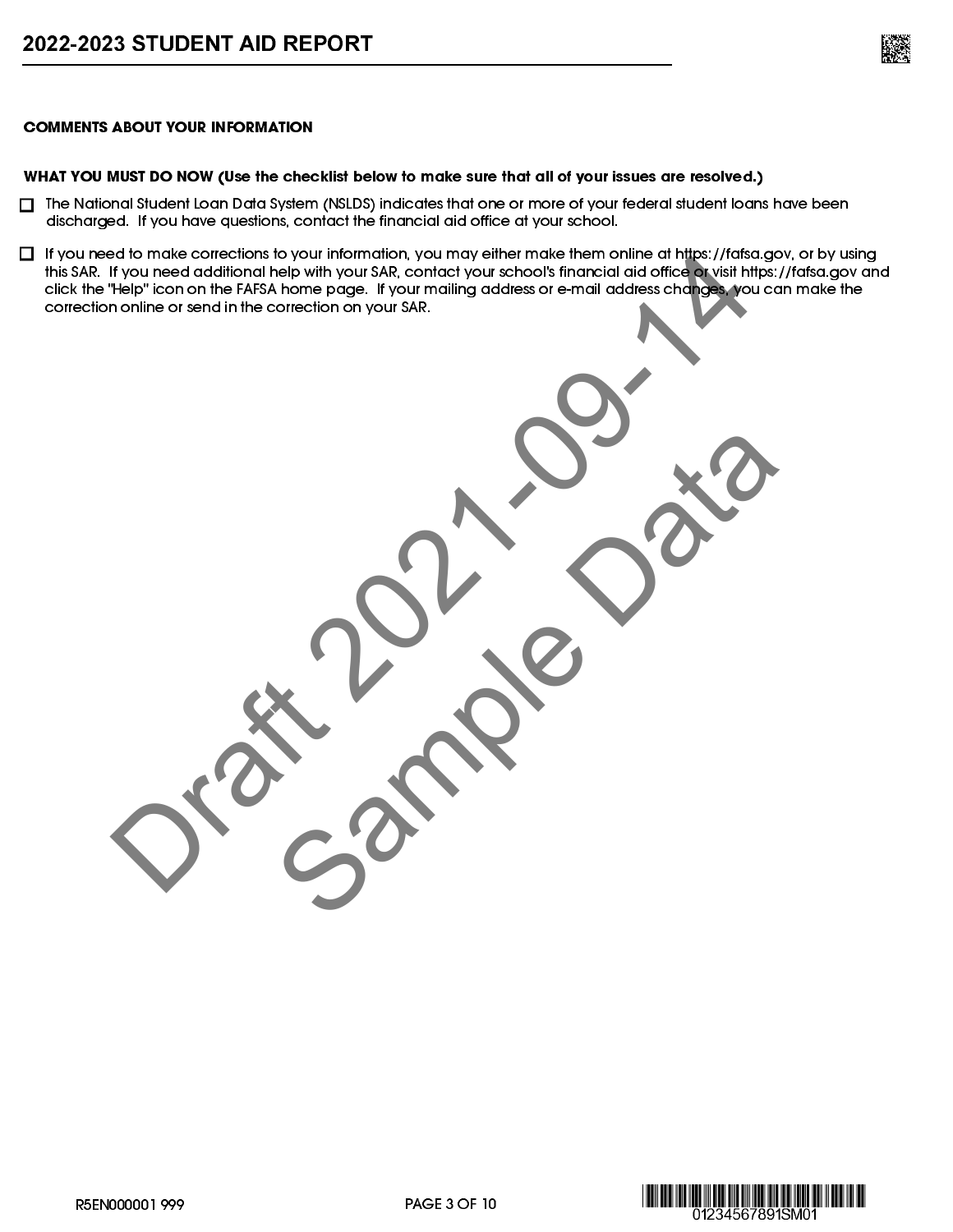

## COMMENTS ABOUT YOUR INFORMATION

## WHAT YOU MUST DO NOW (Use the checklist below to make sure that all of your issues are resolved.)

- $\Box$  The National Student Loan Data System (NSLDS) indicates that one or more of your federal student loans have been discharged. If you have questions, contact the financial aid office at your school.
- $\Box$  If you need to make corrections to your information, you may either make them online at https://fafsa.gov, or by using this SAR. If you need additional help with your SAR, contact your school's financial aid office or visit https://fafsa.gov and click the "Help" icon on the FAFSA home page. If your mailing address or e-mail address changes, you can make the correction online or send in the correction on your SAR. ad to mode correction to your SAR, contact you us choose in fraction of the principal and other with your SAR,<br>High Licen on the FAFA home page. Hyour mailing address or email address in the AFA home of the principal and<br>n

Sample Data



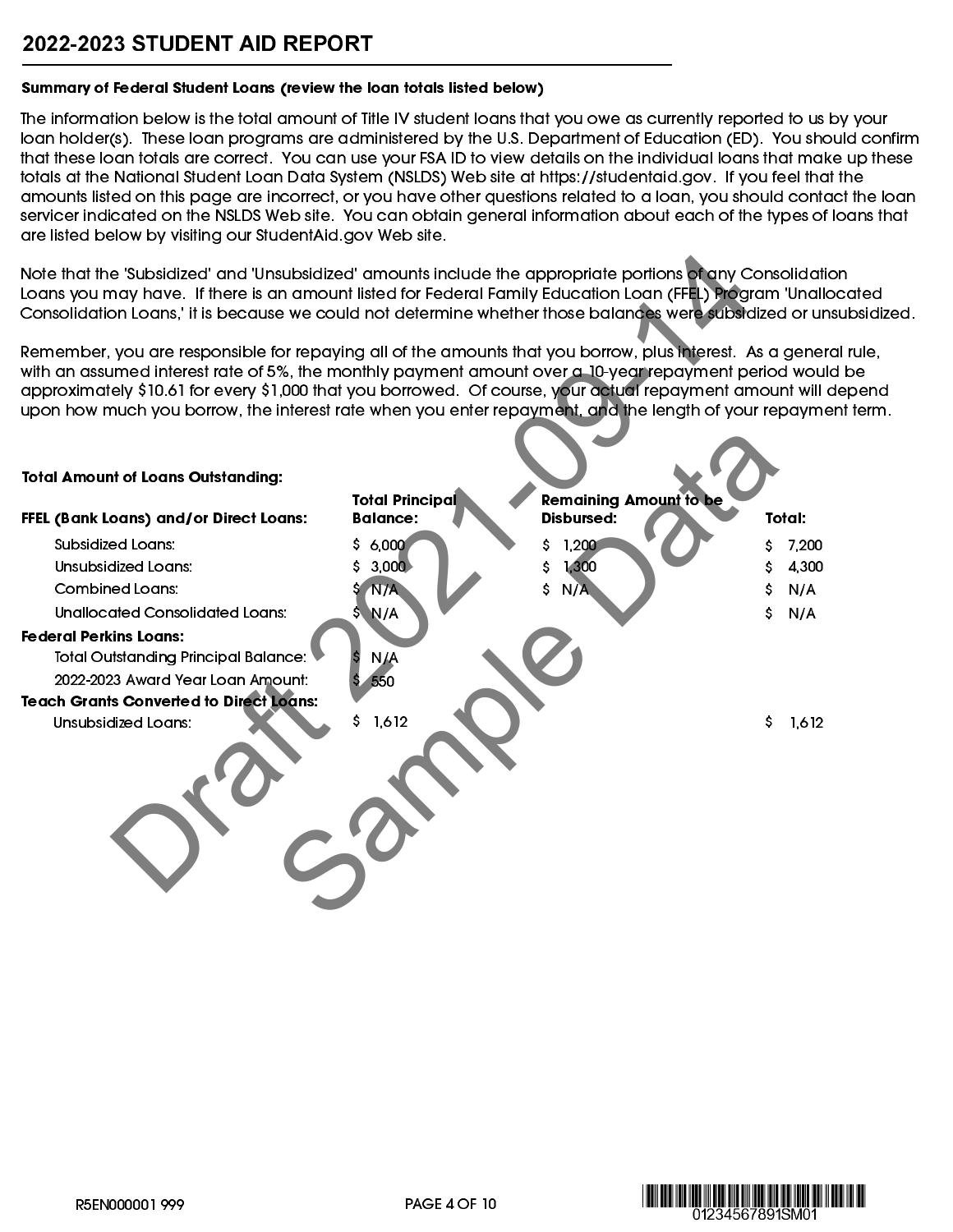## 2022-2023 STUDENT AID REPORT

## Summary of Federal Student Loans (review the loan totals listed below)

The information below is the total amount of Title IV student loans that you owe as currently reported to us by your loan holder(s). These loan programs are administered by the U.S. Department of Education (ED). You should confirm that these loan totals are correct. You can use your FSA ID to view details on the individual loans that make up these totals at the National Student Loan Data System (NSLDS) Web site at [https://studentaid.gov.](https://studentaid.gov/) If you feel that the amounts listed on this page are incorrect, or you have other questions related to a loan, you should contact the loan servicer indicated on the NSLDS Web site. You can obtain general information about each of the types of loans that are listed below by visiting our [StudentAid.gov](https://studentaid.gov/) Web site.

| Note that the 'Subsidized' and 'Unsubsidized' amounts include the appropriate portions of any Consolidation<br>Loans you may have. If there is an amount listed for Federal Family Education Loan (FFEL) Program 'Unallocated<br>Consolidation Loans,' it is because we could not determine whether those balances were subsidized or unsubsidized.<br>Remember, you are responsible for repaying all of the amounts that you borrow, plus interest. As a general rule,<br>with an assumed interest rate of 5%, the monthly payment amount over a 10-year repayment period would be<br>approximately \$10.61 for every \$1,000 that you borrowed. Of course, your actual repayment amount will depend<br>upon how much you borrow, the interest rate when you enter repayment, and the length of your repayment term. |                                           |                                                    |             |
|-----------------------------------------------------------------------------------------------------------------------------------------------------------------------------------------------------------------------------------------------------------------------------------------------------------------------------------------------------------------------------------------------------------------------------------------------------------------------------------------------------------------------------------------------------------------------------------------------------------------------------------------------------------------------------------------------------------------------------------------------------------------------------------------------------------------------|-------------------------------------------|----------------------------------------------------|-------------|
| <b>Total Amount of Loans Outstanding:</b>                                                                                                                                                                                                                                                                                                                                                                                                                                                                                                                                                                                                                                                                                                                                                                             |                                           |                                                    |             |
|                                                                                                                                                                                                                                                                                                                                                                                                                                                                                                                                                                                                                                                                                                                                                                                                                       | <b>Total Principal</b><br><b>Balance:</b> | <b>Remaining Amount to be</b><br><b>Disbursed:</b> | Total:      |
| FFEL (Bank Loans) and/or Direct Loans:                                                                                                                                                                                                                                                                                                                                                                                                                                                                                                                                                                                                                                                                                                                                                                                |                                           |                                                    |             |
| Subsidized Loans:                                                                                                                                                                                                                                                                                                                                                                                                                                                                                                                                                                                                                                                                                                                                                                                                     | S.<br>6,000                               | 1,200                                              | 7,200       |
| Unsubsidized Loans:                                                                                                                                                                                                                                                                                                                                                                                                                                                                                                                                                                                                                                                                                                                                                                                                   | 3,000                                     | 1,300                                              | 4,300       |
| <b>Combined Loans:</b>                                                                                                                                                                                                                                                                                                                                                                                                                                                                                                                                                                                                                                                                                                                                                                                                | N/A                                       | \$<br>N/A                                          | N/A         |
| Unallocated Consolidated Loans:                                                                                                                                                                                                                                                                                                                                                                                                                                                                                                                                                                                                                                                                                                                                                                                       | \$ N/A                                    |                                                    | Ś.<br>N/A   |
| <b>Federal Perkins Loans:</b><br><b>Total Outstanding Principal Balance:</b><br>2022-2023 Award Year Loan Amount:                                                                                                                                                                                                                                                                                                                                                                                                                                                                                                                                                                                                                                                                                                     | <b>N/A</b><br>550                         |                                                    |             |
| <b>Teach Grants Converted to Direct Loans:</b><br><b>Unsubsidized Loans:</b>                                                                                                                                                                                                                                                                                                                                                                                                                                                                                                                                                                                                                                                                                                                                          | 1,612<br>\$                               |                                                    | S.<br>1,612 |
|                                                                                                                                                                                                                                                                                                                                                                                                                                                                                                                                                                                                                                                                                                                                                                                                                       |                                           |                                                    |             |

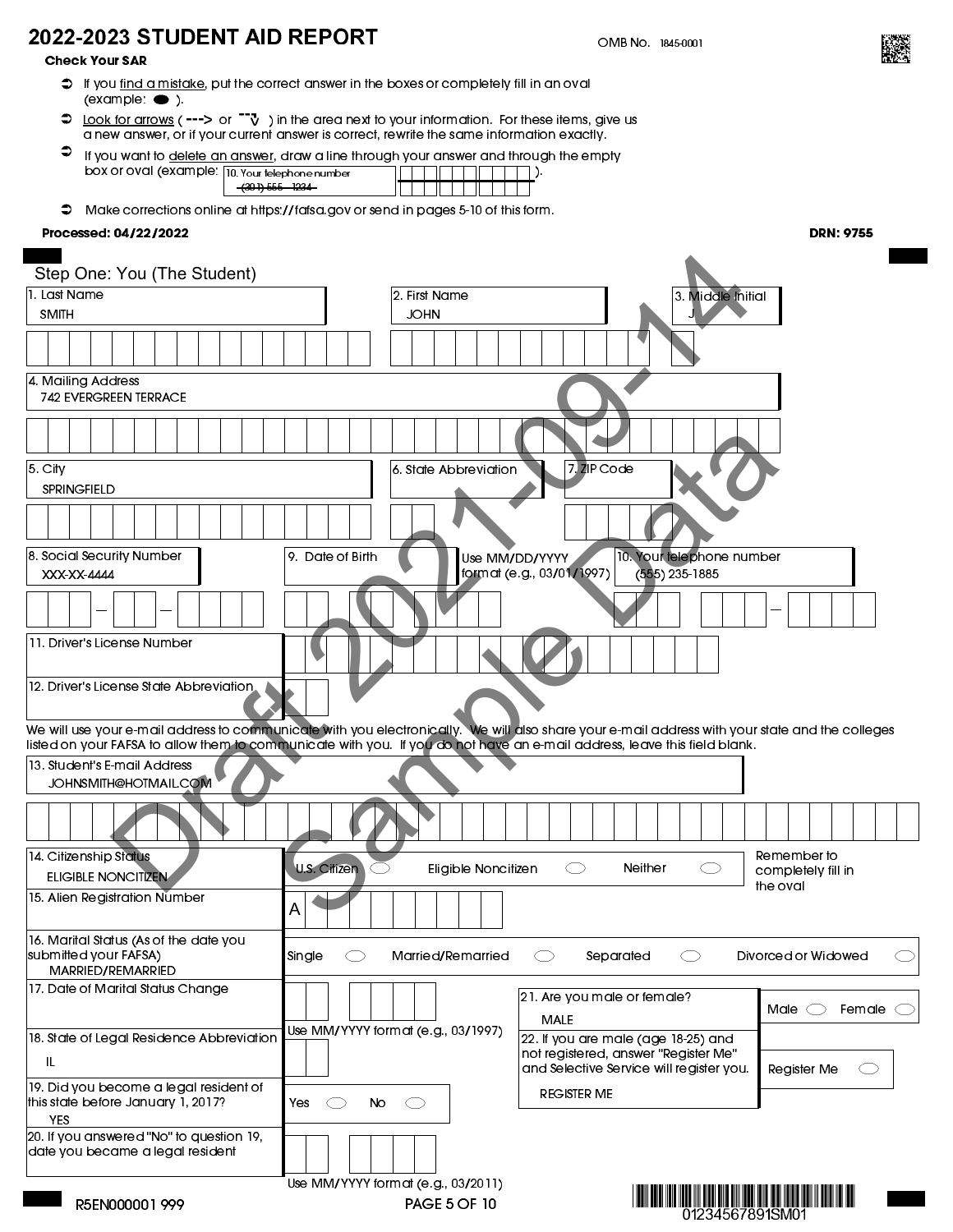# 2022-2023 STUDENT AID REPORT

Check Your SAR

- $\heartsuit$  If you <u>find a mistake</u>, put the correct answer in the boxes or completely fill in an oval  $\overline{\text{(example \bullet)}}$
- $\supset \underline{\text{Look for arrows}}$  (---> or  $\Box \vec{v}$  ) in the area next to your information. For these items, give us a new answer, or if your current answer is correct, rewrite the same information exactly.
- $\bullet$ If you want to delete an answer, draw a line through your answer and through the empty box or oval (example: 10. Your telephone number ). (301) 555 - 1234
- Make corrections online at [https://fafsa.gov](https://studentaid.gov/h/apply-for-aid/fafsa) or send in pages 5-10 of this form.

## Processed: 04/22/2022

| Step One: You (The Student)                                                                                                                     |                                     |                                                                                  |                                |
|-------------------------------------------------------------------------------------------------------------------------------------------------|-------------------------------------|----------------------------------------------------------------------------------|--------------------------------|
| 1. Last Name                                                                                                                                    | 2. First Name                       | 3. Middle Initial                                                                |                                |
| <b>SMITH</b>                                                                                                                                    | <b>JOHN</b>                         |                                                                                  |                                |
|                                                                                                                                                 |                                     |                                                                                  |                                |
| 4. Mailing Address                                                                                                                              |                                     |                                                                                  |                                |
| <b>742 EVERGREEN TERRACE</b>                                                                                                                    |                                     |                                                                                  |                                |
|                                                                                                                                                 |                                     |                                                                                  |                                |
| 5. City<br>SPRINGFIELD                                                                                                                          | 6. State Abbreviation               | 7. ZIP Code                                                                      |                                |
|                                                                                                                                                 |                                     |                                                                                  |                                |
| 8. Social Security Number<br>XXX-XX-4444                                                                                                        | 9. Date of Birth<br>Use MM/DD/YYYY  | 10. Your felephone number<br>format (e.g., 03/01/1997)<br>$(555)$ 235-1885       |                                |
|                                                                                                                                                 |                                     |                                                                                  |                                |
| 11. Driver's License Number                                                                                                                     |                                     |                                                                                  |                                |
| 12. Driver's License State Abbreviation,                                                                                                        |                                     |                                                                                  |                                |
| We will use your e-mail address to communicate with you electronically. We will also share your e-mail address with your state and the colleges |                                     |                                                                                  |                                |
| listed on your FAFSA to allow them to communicate with you. If you do hot have an e-mail address, leave this field blank.                       |                                     |                                                                                  |                                |
| 13. Student's E-mail Address<br>JOHNSMITH@HOTMAIL.COM                                                                                           |                                     |                                                                                  |                                |
|                                                                                                                                                 |                                     |                                                                                  |                                |
| 14. Citizenship Status                                                                                                                          |                                     |                                                                                  | Remember to                    |
| ELIGIBLE NONCITIZEN                                                                                                                             | U.S. Citizen<br>Eligible Noncitizen | Neither<br>⊂⊃<br>O                                                               | completely fill in<br>the oval |
| 15. Alien Registration Number                                                                                                                   | A                                   |                                                                                  |                                |
| 16. Marital Status (As of the date you<br>submitted your FAFSA)<br>MARRIED/REMARRIED                                                            | Single<br>Married/Remarried         | Separated                                                                        | Divorced or Widowed            |
| 17. Date of Marital Status Change                                                                                                               |                                     | 21. Are you male or female?                                                      |                                |
|                                                                                                                                                 |                                     | <b>MALE</b>                                                                      | Male $\subset$<br>Female       |
| 18. State of Legal Residence Abbreviation                                                                                                       | Use MM/YYYY format (e.g., 03/1997)  | 22. If you are male (age 18-25) and                                              |                                |
| IL.                                                                                                                                             |                                     | not registered, answer "Register Me"<br>and Selective Service will register you. | Register Me                    |
| 19. Did you become a legal resident of<br>this state before January 1, 2017?<br><b>YES</b>                                                      | Yes:<br>No                          | <b>REGISTER ME</b>                                                               |                                |
| 20. If you answered "No" to question 19,<br>date you became a legal resident                                                                    |                                     |                                                                                  |                                |
|                                                                                                                                                 | Use MM/YYYY format (e.g., 03/2011)  |                                                                                  |                                |
| R5EN000001999                                                                                                                                   | <b>PAGE 5 OF 10</b>                 | <u>ווען התחון הוך התחן והת הודה ווי</u><br>01234567891SM01                       |                                |



DRN: 9755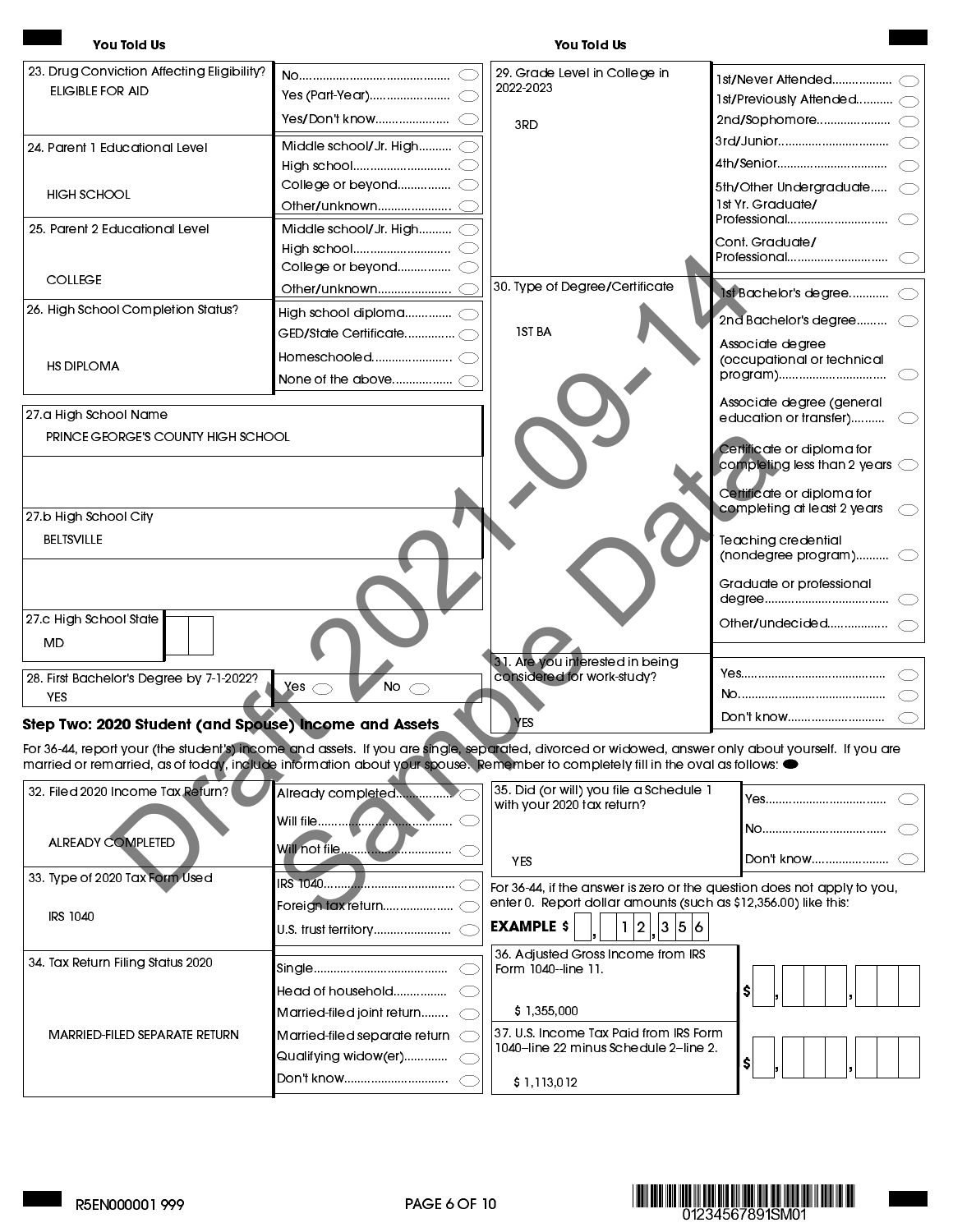| 23. Drug Conviction Affecting Eligibility?                                                                                                          |                                    | 29. Grade Level in College in<br>2022-2023                                                                       |                                                                      |
|-----------------------------------------------------------------------------------------------------------------------------------------------------|------------------------------------|------------------------------------------------------------------------------------------------------------------|----------------------------------------------------------------------|
| ELIGIBLE FOR AID                                                                                                                                    |                                    |                                                                                                                  |                                                                      |
|                                                                                                                                                     |                                    | 3RD                                                                                                              |                                                                      |
| 24. Parent 1 Educational Level                                                                                                                      | Middle school/Jr. High (           |                                                                                                                  |                                                                      |
|                                                                                                                                                     |                                    |                                                                                                                  |                                                                      |
| HIGH SCHOOL                                                                                                                                         |                                    |                                                                                                                  | 5th/Other Undergraduate                                              |
|                                                                                                                                                     |                                    |                                                                                                                  | 1st Yr. Graduate/<br>Professional                                    |
| 25. Parent 2 Educational Level                                                                                                                      | Middle school/Jr. High C           |                                                                                                                  | Cont. Graduate/                                                      |
|                                                                                                                                                     |                                    |                                                                                                                  | Professional                                                         |
| <b>COLLEGE</b>                                                                                                                                      |                                    |                                                                                                                  |                                                                      |
|                                                                                                                                                     |                                    | 30. Type of Degree/Certificate                                                                                   | 1st Bachelor's degree (                                              |
| 26. High School Completion Status?                                                                                                                  | High school diploma C              | <b>1ST BA</b>                                                                                                    | 2nd Bachelor's degree (                                              |
|                                                                                                                                                     |                                    |                                                                                                                  | Associate degree                                                     |
| <b>HS DIPLOMA</b>                                                                                                                                   | None of the above ……………… $\subset$ |                                                                                                                  | (occupational or technical<br>program)                               |
| 27 a High School Name                                                                                                                               |                                    |                                                                                                                  | Associate degree (general<br>education or transfer)                  |
| PRINCE GEORGE'S COUNTY HIGH SCHOOL                                                                                                                  |                                    |                                                                                                                  | Certificate or diploma for<br>completing less than 2 years $\subset$ |
|                                                                                                                                                     |                                    |                                                                                                                  | Certificate or diploma for                                           |
| 27.b High School City                                                                                                                               |                                    |                                                                                                                  | completing at least 2 years                                          |
| <b>BELTSVILLE</b>                                                                                                                                   |                                    |                                                                                                                  | <b>Teaching credential</b><br>(nondegree program) $\subset$          |
|                                                                                                                                                     |                                    |                                                                                                                  | Graduate or professional                                             |
| 27.c High School State<br><b>MD</b>                                                                                                                 |                                    |                                                                                                                  |                                                                      |
| 28. First Bachelor's Degree by 7-1-2022?                                                                                                            |                                    | 31. Are you interested in being<br>considered for work-study?                                                    |                                                                      |
| YES.                                                                                                                                                | No $\bigcirc$<br>Yes $\bigcirc$    |                                                                                                                  |                                                                      |
| Step Two: 2020 Student (and Spouse) Income and Assets                                                                                               |                                    | <b>YES</b>                                                                                                       |                                                                      |
| For 36-44, report your (the student's) income and assets. If you are single, separated, divorced or widowed, answer only about yourself. If you are |                                    |                                                                                                                  |                                                                      |
| married or remarried, as of today, include information about your spouse. Remember to completely fill in the oval as follows: $\bullet$             |                                    |                                                                                                                  |                                                                      |
| 32. Filed 2020 Income Tax Refurn?                                                                                                                   | Already completed                  | 35. Did (or will) you file a Schedule 1<br>with your 2020 tax return?                                            |                                                                      |
|                                                                                                                                                     |                                    |                                                                                                                  |                                                                      |
| <b>ALREADY COMPLETED</b>                                                                                                                            |                                    | <b>YES</b>                                                                                                       |                                                                      |
| 33. Type of 2020 Tax Form Used                                                                                                                      | IRS 1040                           | For 36-44, if the answer is zero or the question does not apply to you,                                          |                                                                      |
| IRS 1040                                                                                                                                            |                                    | enter 0. Report dollar amounts (such as \$12,356.00) like this:<br><b>EXAMPLE \$</b><br>$\overline{2}$<br> 3 5 6 |                                                                      |
|                                                                                                                                                     |                                    | 36. Adjusted Gross Income from IRS                                                                               |                                                                      |
| 34. Tax Return Filing Status 2020                                                                                                                   |                                    | Form 1040-line 11.                                                                                               |                                                                      |
|                                                                                                                                                     |                                    |                                                                                                                  |                                                                      |
|                                                                                                                                                     |                                    |                                                                                                                  |                                                                      |

| JJ. TYDE OF ZUZU TUX FUHT JUSEU.  |                               | For 36-44, if the answer is zero or the question does not apply to you,         |  |
|-----------------------------------|-------------------------------|---------------------------------------------------------------------------------|--|
|                                   |                               | enter 0. Report dollar amounts (such as \$12,356.00) like this:                 |  |
| IRS 1040                          |                               | $EXAMPLE$ \$<br>1 2  3 5 6                                                      |  |
|                                   |                               | 36. Adjusted Gross Income from IRS                                              |  |
| 34. Tax Return Filing Status 2020 |                               | Form 1040-line 11.                                                              |  |
|                                   | Head of household             |                                                                                 |  |
|                                   | Married-filed joint return    | \$1,355,000                                                                     |  |
| MARRIED-FILED SEPARATE RETURN     | Married-filed separate return | 37. U.S. Income Tax Paid from IRS Form<br>1040-line 22 minus Schedule 2-line 2. |  |
|                                   |                               |                                                                                 |  |
|                                   | Don't know                    | \$1,113,012                                                                     |  |
|                                   |                               |                                                                                 |  |

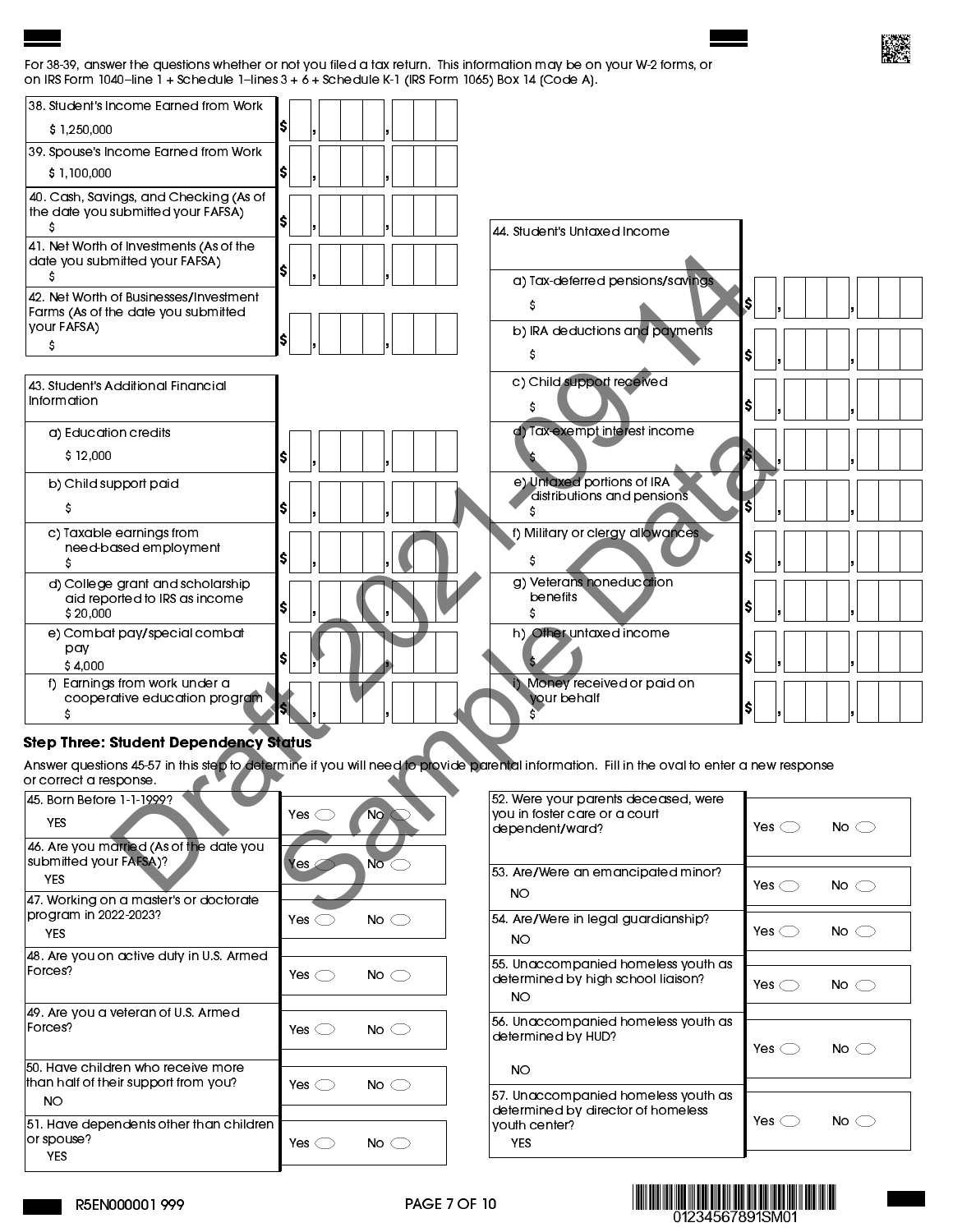#### For 38-39, answer the questions whether or not you filed a tax return. This information may be on your W-2 forms, or on IRS Form 1040-line  $1 +$  Schedule 1-lines  $3 + 6 +$  Schedule K-1 (IRS Form 1065) Box 14 (Code A).

| 38. Student's Income Earned from Work                             |                                |                                                                                                                                             |                                 |
|-------------------------------------------------------------------|--------------------------------|---------------------------------------------------------------------------------------------------------------------------------------------|---------------------------------|
| \$1,250,000                                                       | ISI                            |                                                                                                                                             |                                 |
| 39. Spouse's Income Earned from Work                              |                                |                                                                                                                                             |                                 |
| \$1,100,000                                                       | ISI                            |                                                                                                                                             |                                 |
| 40. Cash, Savings, and Checking (As of                            |                                |                                                                                                                                             |                                 |
| the date you submitted your FAFSA)<br>s                           | ISI                            | 44. Student's Untaxed Income                                                                                                                |                                 |
| 41. Net Worth of Investments (As of the                           |                                |                                                                                                                                             |                                 |
| date you submitted your FAFSA)                                    | ISI                            |                                                                                                                                             |                                 |
| 42. Net Worth of Businesses/Investment                            |                                | a) Tax-deferred pensions/savings                                                                                                            |                                 |
| Farms (As of the date you submitted                               |                                | s                                                                                                                                           | S.                              |
| your FAFSA)                                                       | S                              | b) IRA deductions and payments                                                                                                              |                                 |
| \$                                                                |                                | s                                                                                                                                           | s                               |
| 43. Student's Additional Financial                                |                                | c) Child support received                                                                                                                   |                                 |
| Information                                                       |                                |                                                                                                                                             | s                               |
| a) Education credits                                              |                                | d) Tax-exempt interest income                                                                                                               |                                 |
| \$12,000                                                          | s                              |                                                                                                                                             |                                 |
| b) Child support paid                                             |                                | e) Untaxed portions of IRA<br>distributions and pensions                                                                                    |                                 |
| S                                                                 | S                              |                                                                                                                                             |                                 |
| c) Taxable earnings from                                          |                                | f) Military or clergy allowances                                                                                                            |                                 |
| need-based employment<br>\$                                       | I\$                            | s                                                                                                                                           | ISI                             |
| d) College grant and scholarship                                  |                                | g) Veterans noneducation                                                                                                                    |                                 |
| aid reported to IRS as income<br>\$20,000                         | I\$                            | benefits                                                                                                                                    | s                               |
| e) Combat pay/special combat                                      |                                | h) Other untaxed income                                                                                                                     |                                 |
| pay<br>\$4.000                                                    | ISI                            |                                                                                                                                             | s                               |
| f) Earnings from work under a                                     |                                | Money received or paid on                                                                                                                   |                                 |
| cooperative education program                                     | 51                             | your behalf                                                                                                                                 | s                               |
| <b>Step Three: Student Dependency Status</b>                      |                                |                                                                                                                                             |                                 |
|                                                                   |                                | Answer questions 45-57 in this step to defermine if you will need to provide parental information. Fill in the oval to enter a new response |                                 |
| or correct a response.                                            |                                |                                                                                                                                             |                                 |
| 45. Born Before 1-1-1999?                                         | $No \subset$<br>Yes $\bigcirc$ | 52. Were your parents deceased, were<br>you in foster care or a court                                                                       |                                 |
| <b>YES</b>                                                        |                                | dependent/ward?                                                                                                                             | No $\bigcirc$<br>Yes $\bigcirc$ |
| 46. Are you married (As of the date you<br>submitted your FAFSA)? |                                |                                                                                                                                             |                                 |
| <b>YES</b>                                                        | $No \subset$<br>Yes $\leq$     | 53. Are/Were an emancipated minor?                                                                                                          |                                 |
| 47. Working on a master's or doctorate                            |                                | <b>NO</b>                                                                                                                                   | Yes $\subset$<br>No $\bigcirc$  |
| program in 2022-2023?                                             | No. $\subset$<br>$V_{\alpha}$  | 54 Are Were in leagl auardianship?                                                                                                          |                                 |

## Step Three: Student Dependency Status

| or correct a response.                                         |                                 |
|----------------------------------------------------------------|---------------------------------|
| 45. Born Before 1-1-1999?                                      |                                 |
| YES                                                            | <b>No</b><br>Yes $\subset$      |
| 46. Are you married (As of the date you                        |                                 |
| submitted your FAFSA)?                                         | Yes<br>No $\subset$             |
| <b>YES</b>                                                     |                                 |
| 47 Working on a master's or doctorate<br>program in 2022-2023? |                                 |
| YES                                                            | Yes $\bigcirc$<br>No $\bigcirc$ |
|                                                                |                                 |
| 48. Are you on active duty in U.S. Armed<br>Forces?            | No $\bigcirc$<br>Yes $\bigcirc$ |
|                                                                |                                 |
| 49. Are you a veteran of U.S. Armed                            |                                 |
| Forces?                                                        | Yes $\bigcirc$<br>No $\subset$  |
|                                                                |                                 |
| 50. Have children who receive more                             |                                 |
| than half of their support from you?                           | Yes $\bigcirc$<br>No $\subset$  |
| NO.                                                            |                                 |
| 51. Have dependents other than children                        |                                 |
| or spouse?                                                     | Yes $\bigcirc$<br>No $\subset$  |
| YES                                                            |                                 |
|                                                                |                                 |

|                | No $\subset$   |
|----------------|----------------|
|                |                |
| Yes $\bigcirc$ | No $\subset$   |
| Yes $\bigcirc$ | No $\subset$   |
|                |                |
| Yes $\bigcirc$ | No $\subset$   |
|                |                |
| Yes $\bigcirc$ | No $\subset$   |
|                |                |
| Yes $\bigcirc$ | No (           |
|                | Yes $\bigcirc$ |



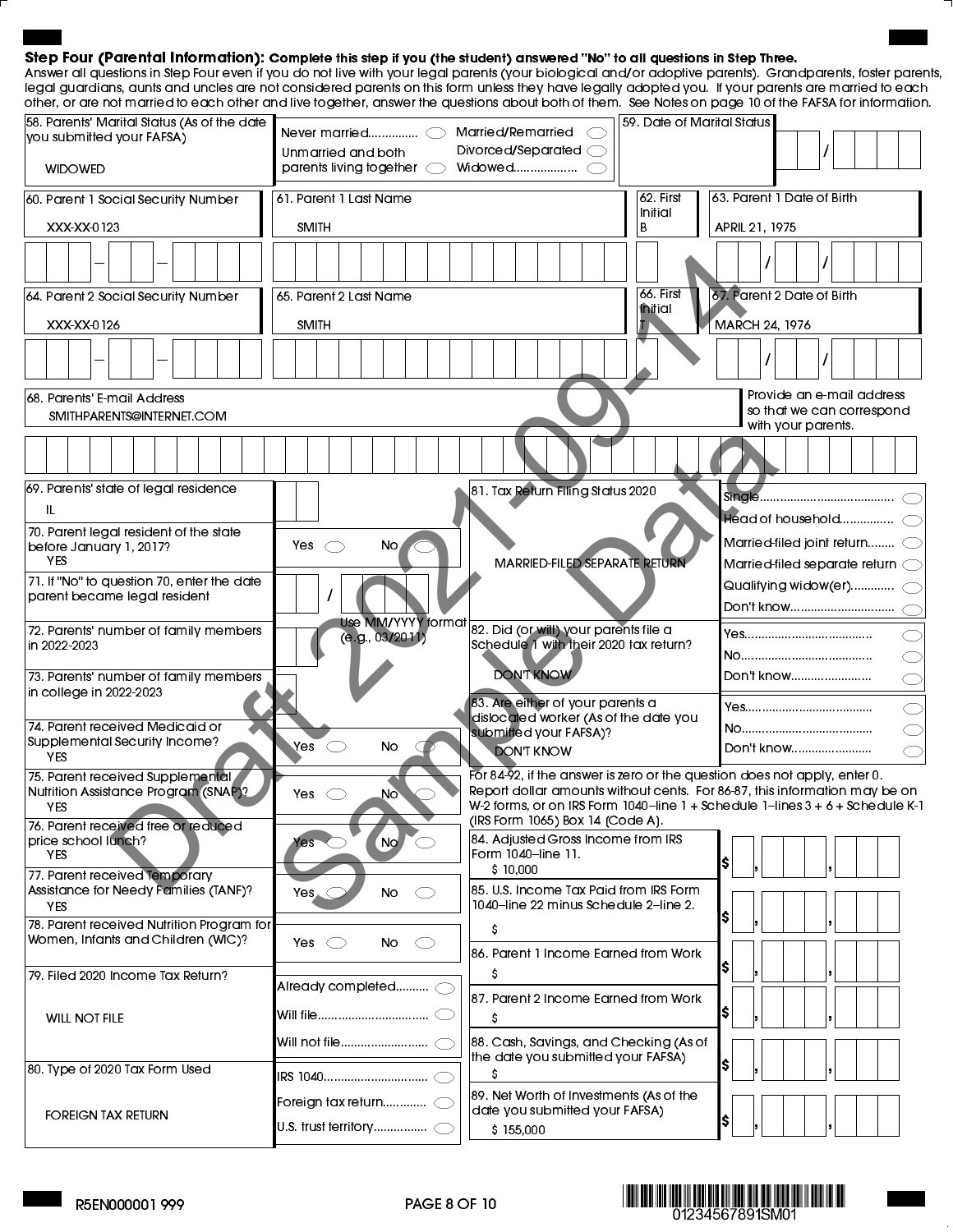## Step Four (Parental Information): Complete this step if you (the student) answered "No" to all questions in Step Three.

Answer all questions in Step Four even if you do not live with your legal parents (your biological and/or adoptive parents). Grandparents, foster parents, legal guardians, aunts and uncles are not considered parents on this form unless they have legally adopted you. If your parents are married to each other, or are not married to each other and live together, answer the questions about both of them. See Notes on page 10 of the FAFSA for information.

| 58. Parents' Marital Status (As of the date<br>you submitted your FAFSA)      |                                                           | Married/Remarried                                                               | 59. Date of Marital Status |                                                                                                                                                         |
|-------------------------------------------------------------------------------|-----------------------------------------------------------|---------------------------------------------------------------------------------|----------------------------|---------------------------------------------------------------------------------------------------------------------------------------------------------|
| <b>WIDOWED</b>                                                                | Unmarried and both<br>parents living together             | Divorced/Separated $\bigcirc$                                                   |                            |                                                                                                                                                         |
| 60. Parent 1 Social Security Number                                           | 61. Parent 1 Last Name                                    |                                                                                 | 62 First<br>Initial        | 63. Parent 1 Date of Birth                                                                                                                              |
| XXX-XX-0123                                                                   | SMITH                                                     |                                                                                 | B                          | APRIL 21, 1975                                                                                                                                          |
|                                                                               |                                                           |                                                                                 |                            |                                                                                                                                                         |
| 64. Parent 2 Social Security Number                                           | 65. Parent 2 Last Name                                    |                                                                                 | 66. First                  | 67. Parent 2 Date of Birth                                                                                                                              |
| XXX-XX-0126                                                                   | <b>SMITH</b>                                              |                                                                                 | <b>Initial</b>             | MARCH 24, 1976                                                                                                                                          |
|                                                                               |                                                           |                                                                                 |                            |                                                                                                                                                         |
| 168. Parents' E-mail Address<br>SMITHPARENTS@INTERNET.COM                     |                                                           |                                                                                 |                            | Provide an e-mail address<br>so that we can correspond<br>with your parents.                                                                            |
|                                                                               |                                                           |                                                                                 |                            |                                                                                                                                                         |
| 69. Parents' state of legal residence                                         |                                                           | 81. Tax Return Filing Status 2020                                               |                            | Sinale                                                                                                                                                  |
| IL                                                                            |                                                           |                                                                                 |                            |                                                                                                                                                         |
| 70. Parent legal resident of the state<br>before January 1, 2017?             | Yes<br>No,<br>$\bigcirc$                                  |                                                                                 |                            | Married-filed joint return (                                                                                                                            |
| <b>YES</b>                                                                    |                                                           | MARRIED-FILED SEPARATE RETURN                                                   |                            | Married-filed separate return $\bigcirc$                                                                                                                |
| 71. If "No" to question 70, enter the date<br>parent became legal resident    |                                                           |                                                                                 |                            |                                                                                                                                                         |
| 72. Parents' number of family members                                         | <b>Use MM/YYYY</b> format                                 | 82. Did (or will) your parents file a                                           |                            | Don't know                                                                                                                                              |
| in 2022-2023                                                                  | (e.g., 03/2011)<br>Schedule 1 with their 2020 tax return? |                                                                                 |                            |                                                                                                                                                         |
| 73. Parents' number of family members                                         |                                                           | <b>DON'T KNOW</b>                                                               |                            | Don't know                                                                                                                                              |
| in college in 2022-2023                                                       |                                                           | 83. Are either of your parents a                                                |                            |                                                                                                                                                         |
| 74. Parent received Medicaid or                                               |                                                           | dislocated worker (As of the date you<br>submitted your FAFSA)?                 |                            |                                                                                                                                                         |
| Supplemental Security Income?<br><b>YES</b>                                   | Yes<br>No                                                 | <b>DON'T KNOW</b>                                                               |                            | Don't know                                                                                                                                              |
| 75. Parent received Supplemental<br>Nutrition Assistance Program (SNAP)?      | Yes $\subset$<br>No.                                      |                                                                                 |                            | For 84-92, if the answer is zero or the question does not apply, enter 0.<br>Report dollar amounts without cents. For 86-87, this information may be on |
| YES.<br>76. Parent received free or reduced                                   |                                                           | (IRS Form 1065) Box 14 (Code A).                                                |                            | W-2 forms, or on IRS Form 1040-line 1 + Schedule 1-lines 3 + 6 + Schedule K-1                                                                           |
| price school lunch?<br><b>YES</b>                                             | No<br>Yes                                                 | 84. Adjusted Gross Income from IRS<br>Form 1040-line 11.<br>\$10,000            |                            | I\$                                                                                                                                                     |
| 77. Parent received Temporary<br>Assistance for Needy Families (TANF)?<br>YES | No<br>$Yes. \subset$<br>$\subset$                         | 85. U.S. Income Tax Paid from IRS Form<br>1040-line 22 minus Schedule 2-line 2. |                            |                                                                                                                                                         |
| 78. Parent received Nutrition Program for                                     |                                                           | s                                                                               |                            | S                                                                                                                                                       |
| Women, Infants and Children (WIC)?                                            | Yes $\bigcirc$<br>No.<br>C)                               | 86. Parent 1 Income Earned from Work                                            |                            |                                                                                                                                                         |
| 79. Filed 2020 Income Tax Return?                                             | Already completed (                                       |                                                                                 |                            | s                                                                                                                                                       |
| <b>WILL NOT FILE</b>                                                          |                                                           | 87. Parent 2 Income Earned from Work<br>s                                       |                            | -SI                                                                                                                                                     |
|                                                                               | Will not file                                             | 88. Cash, Savings, and Checking (As of<br>the date you submitted your FAFSA)    |                            | <b>S</b>                                                                                                                                                |
| 80. Type of 2020 Tax Form Used                                                | IRS 1040…………………………… ◯                                     |                                                                                 |                            |                                                                                                                                                         |
| <b>FOREIGN TAX RETURN</b>                                                     | Foreign tax return $\subset$                              | 89. Net Worth of Investments (As of the<br>date you submitted your FAFSA)       |                            | S,                                                                                                                                                      |
|                                                                               |                                                           | \$155,000                                                                       |                            |                                                                                                                                                         |

**MM 11 11 11 11 1234567891SM01**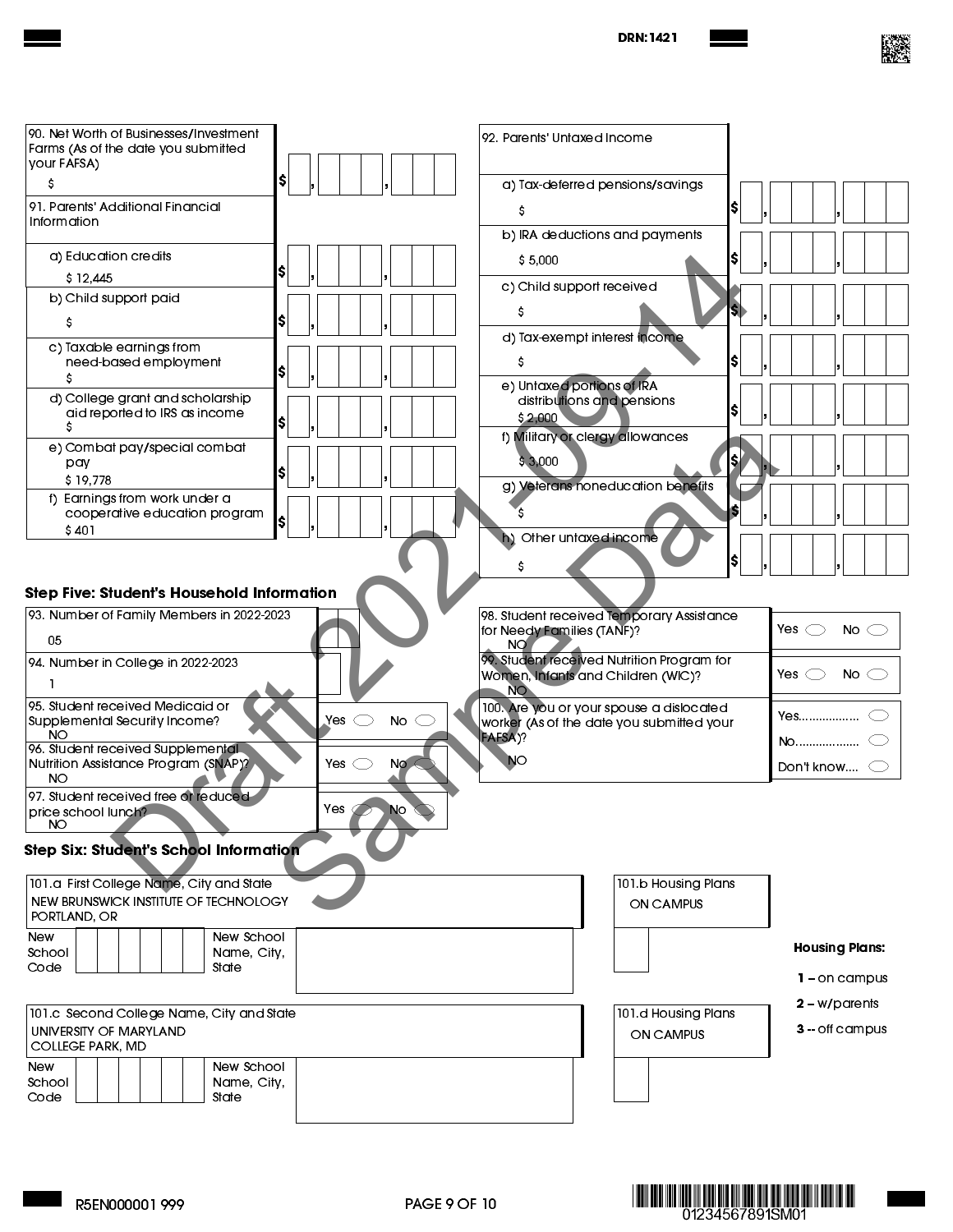| 90. Net Worth of Businesses/Investment<br>Farms (As of the date you submitted<br>your FAFSA)<br>s                                                                                                                                                                                                                           | I\$                                | 92. Parents' Untaxed Income<br>a) Tax-deferred pensions/savings                                                                                                                                                                                                                                                  |                                                           |
|-----------------------------------------------------------------------------------------------------------------------------------------------------------------------------------------------------------------------------------------------------------------------------------------------------------------------------|------------------------------------|------------------------------------------------------------------------------------------------------------------------------------------------------------------------------------------------------------------------------------------------------------------------------------------------------------------|-----------------------------------------------------------|
| 91. Parents' Additional Financial<br>Information                                                                                                                                                                                                                                                                            |                                    | s                                                                                                                                                                                                                                                                                                                |                                                           |
| a) Education credits<br>\$12,445<br>b) Child support paid<br>s<br>c) Taxable earnings from<br>need-based employment<br>s<br>d) College grant and scholarship<br>aid reported to IRS as income<br>e) Combat pay/special combat<br>pay<br>\$19,778<br>f) Earnings from work under a<br>cooperative education program<br>\$401 |                                    | b) IRA deductions and payments<br>IS<br>\$5,000<br>c) Child support received<br>S<br>d) Tax-exempt interest income<br>IS<br>S<br>e) Untaxed portions of IRA<br>distributions and pensions<br>5,2,000<br>f) Military or clergy allowances<br>\$3,000<br>g) Veterans noneducation benefits<br>Other untaxed income |                                                           |
| <b>Step Five: Student's Household Information</b><br>93. Number of Family Members in 2022-2023<br>05                                                                                                                                                                                                                        |                                    | 98. Student received Temporary Assistance<br>for Needy Families (TANF)?<br>NO.                                                                                                                                                                                                                                   | Yes $\bigcirc$<br>No $\bigcirc$                           |
| 94. Number in College in 2022-2023<br>95. Student received Medicaid or<br>Supplemental Security Income?<br><b>NO</b><br>96. Student received Supplemental<br>Nutrition Assistance Program (SNAP)?                                                                                                                           | Yes<br>No<br>Yes $\bigcirc$<br>Nø. | 99. Student received Nutrition Program for<br>Women, Infants and Children (WIC)?<br><b>NO</b><br>100. Are you or your spouse a dislocated<br>worker (As of the date you submitted your<br>FAFSA)?<br>NO                                                                                                          | Yes $\subset$<br>No $\bigcirc$<br>Yes<br>No<br>Don't know |
| <b>NO</b><br>97. Student received free or reduced<br>price school lunch?<br>NO                                                                                                                                                                                                                                              | Yes Ç<br>No                        |                                                                                                                                                                                                                                                                                                                  |                                                           |
| Step Six: Student's School Information<br>101.a First College Name, City and State<br>NEW BRUNSWICK INSTITUTE OF TECHNOLOGY<br>PORTLAND, OR<br>New School<br><b>New</b><br>School<br>Name, City,<br>Code<br>State                                                                                                           |                                    | 101 b Housing Plans<br>ON CAMPUS                                                                                                                                                                                                                                                                                 | <b>Housing Plans:</b><br>$1 -$ on campus                  |
| 101.c Second College Name, City and State<br>UNIVERSITY OF MARYLAND<br><b>COLLEGE PARK, MD</b><br><b>New</b><br>New School<br>School<br>Name, City,<br>Code<br>State                                                                                                                                                        |                                    | 101.d Housing Plans<br>ON CAMPUS                                                                                                                                                                                                                                                                                 | $2 - w$ /parents<br>$3 -$ off campus                      |





I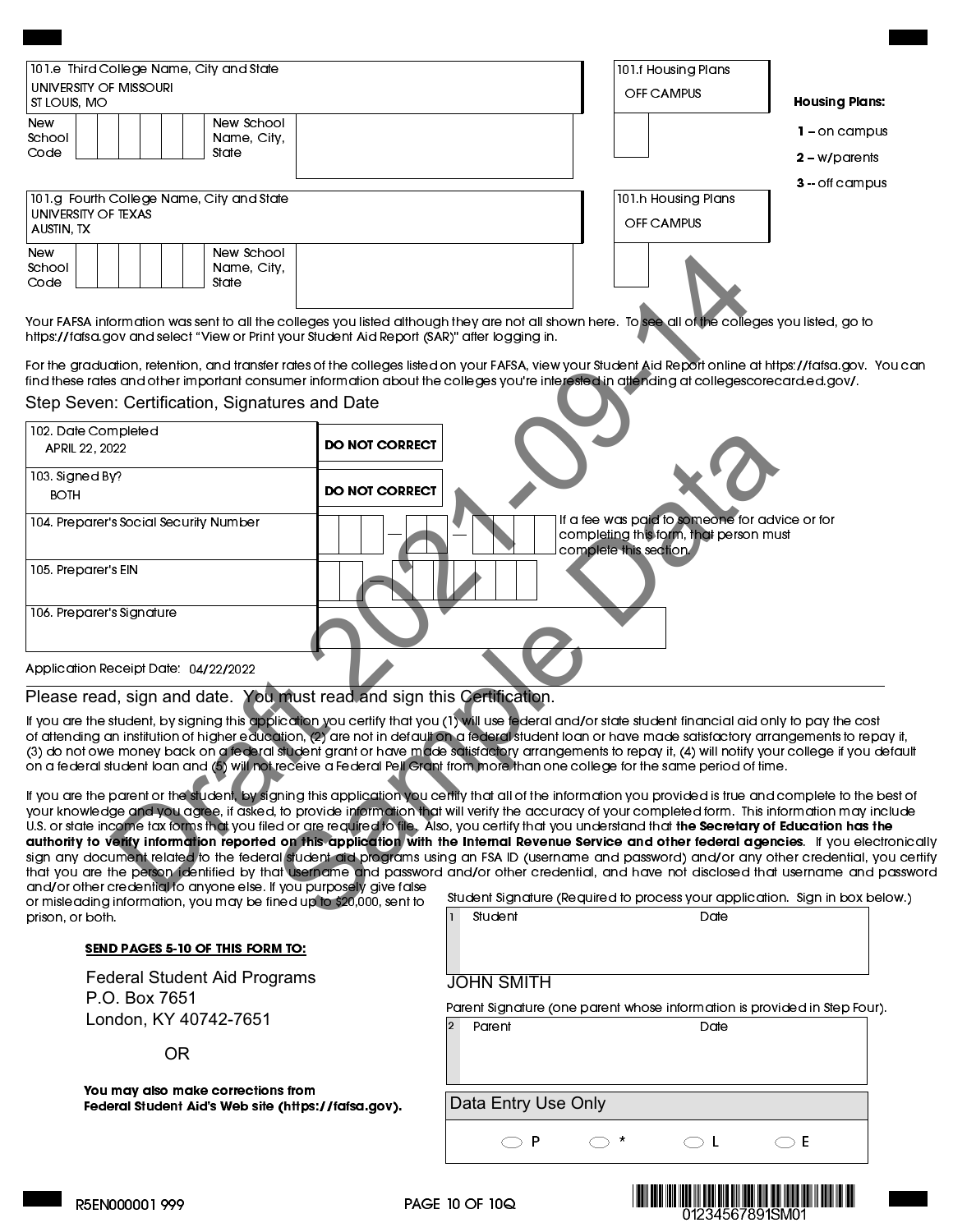| 101.e Third College Name, City and State<br>  university of Missouri<br>ST LOUIS, MO | 101 f Housing Plans<br>OFF CAMPUS<br><b>Housing Plans:</b> |  |
|--------------------------------------------------------------------------------------|------------------------------------------------------------|--|
| New School<br><b>New</b><br>School<br>Name, City,<br>Code<br>State                   | 1 = on campus<br>$2 - w$ /parents<br>$3 -$ off campus      |  |
| 101.g Fourth College Name, City and State<br>  UNIVERSITY OF TEXAS<br>AUSTIN, TX     | 101 h Housing Plans<br>OFF CAMPUS                          |  |
| New School<br><b>New</b><br>School<br>Name, City,<br>Code<br>State                   |                                                            |  |

For the graduation, retention, and transfer rates of the colleges listed on your FAFSA, view your Student Aid Report online at [https://fafsa.gov.](https://studentaid.gov/h/apply-for-aid/fafsa) You can find these rates and other important consumer information about the colleges you're interested in attending at [collegescorecard.ed.gov/.](https://collegescorecard.ed.gov/)

#### **Step Seven: Certification, Signatures and Date**

| New School<br>New<br>School<br>Name, City,<br>Code<br>State                                                                                |                       |                                                                                                                                                                                                                                                                                                                                                                                                                                                                                                                                                                                            |
|--------------------------------------------------------------------------------------------------------------------------------------------|-----------------------|--------------------------------------------------------------------------------------------------------------------------------------------------------------------------------------------------------------------------------------------------------------------------------------------------------------------------------------------------------------------------------------------------------------------------------------------------------------------------------------------------------------------------------------------------------------------------------------------|
| https://fafsa.gov and select "View or Print your Student Aid Report (SAR)" after logging in.                                               |                       | Your FAFSA information was sent to all the colleges you listed although they are not all shown here. To see all of the colleges you listed, go to                                                                                                                                                                                                                                                                                                                                                                                                                                          |
|                                                                                                                                            |                       | For the graduation, retention, and transfer rates of the colleges listed on your FAFSA, view your Student Aid Report online at https://fafsa.gov.<br>find these rates and other important consumer information about the colleges you're interested in attending at collegescorecard.ed.gov/.                                                                                                                                                                                                                                                                                              |
| Step Seven: Certification, Signatures and Date                                                                                             |                       |                                                                                                                                                                                                                                                                                                                                                                                                                                                                                                                                                                                            |
| 102 Date Completed<br>APRIL 22, 2022                                                                                                       | <b>DO NOT CORRECT</b> |                                                                                                                                                                                                                                                                                                                                                                                                                                                                                                                                                                                            |
| 103. Signed By?<br><b>BOTH</b>                                                                                                             | <b>DO NOT CORRECT</b> |                                                                                                                                                                                                                                                                                                                                                                                                                                                                                                                                                                                            |
| 104. Preparer's Social Security Number                                                                                                     |                       | If a fee was paid to someone for advice or for<br>completing this form, that person must<br>complete this section.                                                                                                                                                                                                                                                                                                                                                                                                                                                                         |
| 105. Preparer's EIN                                                                                                                        |                       |                                                                                                                                                                                                                                                                                                                                                                                                                                                                                                                                                                                            |
| 106. Preparer's Signature                                                                                                                  |                       |                                                                                                                                                                                                                                                                                                                                                                                                                                                                                                                                                                                            |
| Application Receipt Date: 04/22/2022                                                                                                       |                       |                                                                                                                                                                                                                                                                                                                                                                                                                                                                                                                                                                                            |
| Please read, sign and date. You must read and sign this Certification.                                                                     |                       |                                                                                                                                                                                                                                                                                                                                                                                                                                                                                                                                                                                            |
|                                                                                                                                            |                       | If you are the student, by signing this application you certify that you (1) will use federal and/or state student financial aid only to pay the cos<br>of attending an institution of higher education, (2) are not in default on a federal student loan or have made satisfactory arrangements to rep<br>(3) do not owe money back on a federal student grant or have made satisfactory arrangements to repay it, (4) will notify your college if you<br>on a federal student loan and (5) will not receive a Federal Pell Grant from more than one college for the same period of time. |
|                                                                                                                                            |                       | If you are the parent or the student, by signing this application you certify that all of the information you provided is true and complete to the<br>your knowledge and you agree, if asked, to provide information that will verify the accuracy of your completed form. This information may in<br>U.S. or state income tax forms that you filed or are required to file. Also, you certify that you understand that the Secretary of Education has t                                                                                                                                   |
|                                                                                                                                            |                       | authority to verity information reported on this application with the Internal Revenue Service and other federal agencies. If you elee<br>sign any document related to the federal student aid programs using an FSA ID (username and password) and/or any other credential, y<br>that you are the person identified by that username and password and/or other credential, and have not disclosed that username and                                                                                                                                                                       |
| and/or other credential to anyone else. If you purposely give false<br>or misleading information, you may be fined up to \$20,000, sent to |                       | Student Signature (Required to process your application. Sign in box b                                                                                                                                                                                                                                                                                                                                                                                                                                                                                                                     |
| prison, or both.                                                                                                                           |                       | Student<br>Date                                                                                                                                                                                                                                                                                                                                                                                                                                                                                                                                                                            |

## **Please read, sign and date. You must read and sign this Certification.**

If you are the student, by signing this application you certify that you (1) will use federal and/or state student financial aid only to pay the cost of attending an institution of higher education, (2) are not in default on a federal student loan or have made satisfactory arrangements to repay it, (3) do not owe money back on a federal student grant or have made satisfactory arrangements to repay it, (4) will notify your college if you default on a federal student loan and (5) will not receive a Federal Pell Grant from more than one college for the same period of time.

If you are the parent or the student, by signing this application you certify that all of the information you provided is true and complete to the best of your knowledge and you agree, if asked, to provide information that will verify the accuracy of your completed form. This information may include U.S. or state income tax forms that you filed or are required to file. Also, you certify that you understand that the Secretary of Education has the authority to verify information reported on this application with the Internal Revenue Service and other federal agencies. If you electronically sign any document related to the federal student aid programs using an FSA ID (username and password) and/or any other credential, you certify that you are the person identified by that username and password and/or other credential, and have not disclosed that username and password and/or other credential to anyone else. If you purposely give false

or misleading information, you may be fined up to \$20,000, sent to prison, or both.

## SEND PAGES 5-10 OF THIS FORM TO:

**Federal Student Aid Programs P.O. Box 7651 London, KY 40742-7651**

**OR**

You may also make corrections from Federal Student Aid's Web site [\(https://fafsa.gov\)](https://studentaid.gov/h/apply-for-aid/fafsa). Student Signature (Required to process your application. Sign in box below.)

| <b>JOHN SMITH</b> |  |
|-------------------|--|

Parent Signature (one parent whose information is provided in Step Four). Parent Date

**Data Entry Use Only**



P  $\bigcirc$  \*  $\bigcirc$  L  $\bigcirc$  E  $\bigcup$